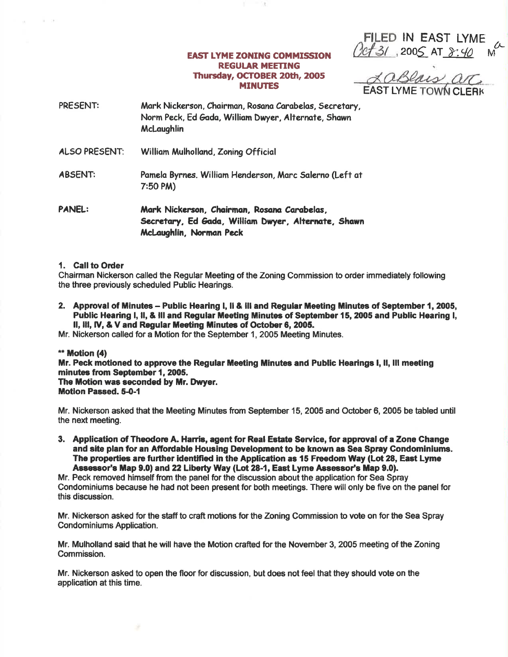**EAST LYME ZONING COMMISSION REGULAR MEETING** Thursday, OCTOBER 20th, 2005 **MINUTES** 

FILED IN EAST LYME<br>0ct 31, 2005 AT 8:40

<u>LaBlais arc</u>

- PRESENT: Mark Nickerson, Chairman, Rosana Carabelas, Secretary, Norm Peck, Ed Gada, William Dwyer, Alternate, Shawn **McLaughlin**
- **ALSO PRESENT:** William Mulholland, Zoning Official
- **ABSENT:** Pamela Byrnes, William Henderson, Marc Salerno (Left at  $7:50$  PM)
- **PANEL:** Mark Nickerson, Chairman, Rosana Carabelas, Secretary, Ed Gada, William Dwyer, Alternate, Shawn McLaughlin, Norman Peck

# 1. Call to Order

Chairman Nickerson called the Regular Meeting of the Zoning Commission to order immediately following the three previously scheduled Public Hearings.

- 2. Approval of Minutes Public Hearing I, II & III and Regular Meeting Minutes of September 1, 2005, Public Hearing I, II, & III and Regular Meeting Minutes of September 15, 2005 and Public Hearing I, II, III, IV, & V and Regular Meeting Minutes of October 6, 2005.
- Mr. Nickerson called for a Motion for the September 1, 2005 Meeting Minutes.

# \*\* Motion (4) Mr. Peck motioned to approve the Regular Meeting Minutes and Public Hearings I, II, III meeting minutes from September 1, 2005. The Motion was seconded by Mr. Dwyer. **Motion Passed. 5-0-1**

Mr. Nickerson asked that the Meeting Minutes from September 15, 2005 and October 6, 2005 be tabled until the next meeting.

3. Application of Theodore A. Harris, agent for Real Estate Service, for approval of a Zone Change and site plan for an Affordable Housing Development to be known as Sea Spray Condominiums. The properties are further identified in the Application as 15 Freedom Way (Lot 28, East Lyme Assessor's Map 9.0) and 22 Liberty Way (Lot 28-1, East Lyme Assessor's Map 9.0).

Mr. Peck removed himself from the panel for the discussion about the application for Sea Spray Condominiums because he had not been present for both meetings. There will only be five on the panel for this discussion.

Mr. Nickerson asked for the staff to craft motions for the Zoning Commission to vote on for the Sea Spray Condominiums Application.

Mr. Mulholland said that he will have the Motion crafted for the November 3, 2005 meeting of the Zoning Commission.

Mr. Nickerson asked to open the floor for discussion, but does not feel that they should vote on the application at this time.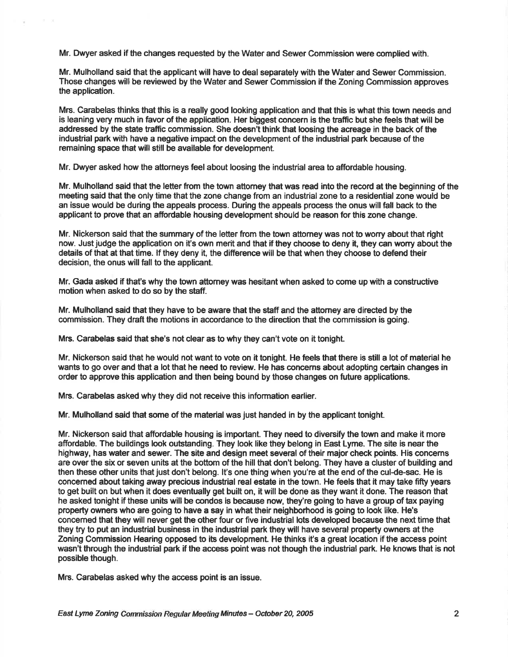Mr. Dwyer asked if the changes requested by the Water and Sewer Commission were complied with.

Mr. Mulholland said that the applicant will have to deal separately with the Water and Sewer Commission, Those changes will be reviewed by the Water and Sewer Gommission if the Zoning Commission approves the application.

Mrs. Carabelas thinks that this is a really good looking application and that this is what this town needs and is leaning very much in favor of the application. Her biggest concern is the traffic but she feels that will be addressed by the state traffic commission. She doesn't think that loosing the acreage in the back of the industrial park with have a negative impact on the development of the industrial park because of the remaining space that will still be available for development.

Mr. Dwyer asked how the attomeys feel about loosing the industrial area to affordable housing.

Mr. Mulholland said that the letter ftom the town attomey that was read into the record at the beginning of the meeting said that the only time that the zone change from an industrial zone to a residential zone would be an issue would be during the appeals process. During the appeals process the onus will fall back to the applicant to prove that an affordable housing development should be reason for this zone change.

Mr. Nickerson said that the summary of the letter from the town attomey was not to worry about that right now. Just judge the application on it's own merit and that if they choose to deny it, they can worry about the details of that at that time. If they deny it, the difference will be that when they choose to defend their decision, the onus will fall to the applicant.

Mr. Gada asked if that's why the town aftomey was hesitant when asked to come up with a constructive motion when asked to do so by the staff.

Mr. Mulholland said that they have to be aware that the staff and the attomey are directed by the commission. They draft the motions in accordance to the direction that the commission is going.

Mrs. Carabelas said that she's not clear as to why they can't vote on it tonight.

Mr. Nickerson said that he would not want to vote on it tonight. He feels that there is still a lot of material he wants to go over and that a lot that he need to review. He has concerns about adopting certain changes in order to approve this application and then being bound by those changes on future applications.

Mrs. Carabelas asked why they did not receive this information earlier.

Mr. Mulholland said that some of the material was just handed in by the applicant tonight.

Mr. Nickerson said that affordable housing is important. They need to diversify the town and make it more affordable. The buildings look outstanding. They look like they belong in East Lyme. The site is near the highway, has water and sewer. The site and design meet several of their major check points. His concems are over the six or seven units at the boftom of the hill that don't belong. They have a cluster of building and then these other units that just don't belong. It's one thing when you're at the end of the cul-de-sac. He is concemed about taking away precious industrial real estate in the town. He feels that lt may take fifty years to get built on but when it does eventually get built on, it will be done as they want it done. The reason that he asked tonight if these units will be condos is because now, they're going to have a group of tax paying property owners who are going to have a say ln what their neighborhood is going to look like. He's concemed that they will never get the other four or five industrial lots developed because the next time that they try to put an industrial business in the industrial park they will have several property owners at the Zoning Commission Hearing opposed to its development. He thinks it's a great location if the access point wasn't through the industrial park if the access point was not though the industrial park. He knows that is not possible though.

Mrs. Carabelas asked why the access point is an issue.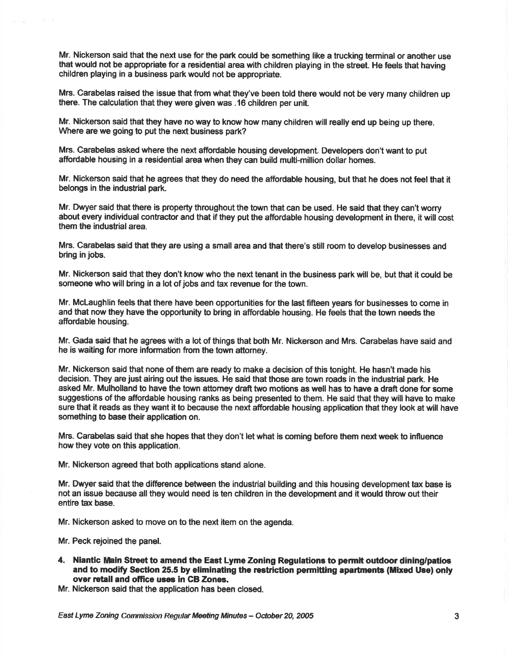Mr. Nickerson said that the next use for the park could be something like a trucking terminal or another use that would not be appropriate for a residential area with children playing in the sfreet. He feels that having children playing in a business park would not be appropriate.

Mrs. Carabelas raised the issue that from what they've been told there would not be very many children up there. The calculation that they were given was .16 children per unit

Mr. Nickerson said that they have no way to know how many children will really end up being up there. Where are we going to put the next business park?

Mrs. Carabelas asked where the next affordable housing development. Developers don't want to put affordable housing in a residential area when they can build multi-million dollar homes.

Mr. Nickerson said that he agrees that they do need the affordable housing, but that he does not feel that it belongs in the industrial park.

Mr. Dwyer said that there is property throughout the town that can be used. He said that they can't worry about every individual contractor and that if they put the affordable housing development in there, it will cost them the industrial area.

Mrs. Carabelas said that they are using a small area and that there's still room to develop businesses and bring in jobs.

Mr. Nickerson said that they don't know who the next tenant in the business park will be, but that it could be someone who will bring in a lot of jobs and tax revenue for the town.

Mr. McLaughlin feels that there have been opportunities for the last fifleen years for busihesses to come in and that now they have the opportunity to bring in affordable housing. He feels that the town needs the affordable housing.

Mr. Gada said that he agrees with a lot of things that both Mr. Nickerson and Mrs. Carabelas have said and he is waiting for more information from the town attorney.

Mr. Nickerson said that none of them are ready to make a decision of this tonight. He hasn't made his decision. They are just airing out the issues. He said that those are town roads in the industrial park. He asked Mr. Mulholland to have the town attorney draft two motions as well has to have a draft done for some suggestions of the affordable housing ranks as being presented to them. He said that they will have to make sure that it reads as they want it to because the next affordable housing application that they look at will have something to base their application on.

Mrs. Carabelas said that she hopes that they don't let what is coming before them next week to influence how they vote on this application.

Mr. Nickerson agreed that both applications stand alone.

Mr. Dwyer said that the difference between the industrial building and this housing development tax base is not an issue because all they would need is ten children in the development and it would throw out their entire tax base.

Mr. Nickerson asked to move on to the next item on the agenda.

Mr. Peck rejoined the panel.

4. Niantic Main Street to amend the East Lyme Zoning Regulations to permit outdoor dining/patios and to modify Section 25.5 by eliminating the restriction permitting apartments (Mixed Use) only over retail and office uses in CB Zones.

Mr. Nickerson said that the application has been closed.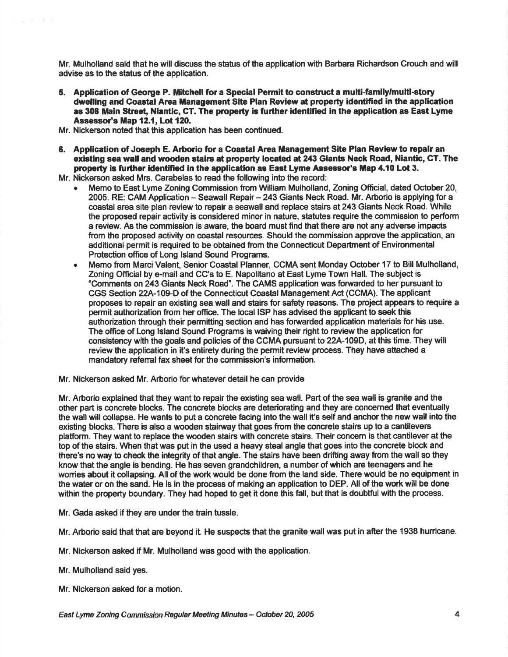Mr. Mulholland said that he will discuss the status of the application with Barbara Richardson Crouch and will advise as to the status of the application.

- 5. Application of George P. Mitchell for a Special Permit to construct a multi-family/mutti-atory dwelling and Coastal Area Management Site Plan Review at property identified in the application as 308 Main Street, Niantic, CT. The property is further identified in the application as East Lyme Assessor's Map 12.1, Lot 120.
- Mr. Nickerson noted that this application has been continued.
- 6. Application of Joseph E. Arborio for a Coastal Area Management Site Plan Review to repair an existing sea wall and wooden stairs at property located at 243 Giants Neck Road, Niantic, CT. The property is further identified in the application as East Lyme Assessor's Map 4.10 Lot 3.

Mr. Nickerson asked Mrs. Carabelas to read the following into the record:

- r Memo to East Lyme Zoning Commission from William Mulholland, Zoning Official, dated October 20, 2005. RE: CAM Application - Seawall Repair - 243 Giants Neck Road. Mr. Arborio is applying for a coastal area site plan review to repair a seawall and replace stairs at 243 Giants Neck Road. While the proposed repair activity is considered minor in nature, statutes require the commission to perform a review. As the commission is aware, the board must find that there are not any adverse impacts from the proposed activity on coastal resources. Should the commission approve the application, an additional permit is required to be obtained from the Connecticut Department of Environmental Protection office of Long Island Sound Programs.
- Memo from Marci Valent, Senior Coastal Planner, CCMA sent Monday October 17 to Bill Mulholland, Zoning Official by e-mail and CC's to E. Napolitano at East Lyme Town Hall. The subject is 'Comments on243 Giants Neck Road'. The CAMS application was forwarded to her pursuant to CGS Section 22A-109-D of the Connecticut Coastal Management Act (CCMA). The applicant proposes to repair an existing sea wall and stairs for safety reasons. The project appears to require a permit authorization from her office. The local ISP has advised the applicant to seek this authorization through their permitting section and has forwarded application materials for his use. The office of Long Island Sound Programs is waiving their right to review the application for consistency with the goals and policies of the CCMA pursuant to 22A-109D, at this time. They will review the application in it's entirety during the permit review process. They have attached a mandatory referral fax sheet for the commission's information.
- Mr. Nickerson asked Mr. Arborio for whatever detail he can provide

Mr. Arborio explained that they want to repair the existing sea wall. Part of the sea wall is gnanite and the other part is concrete blocks. The concrete blocks are deteriorating and they are concemed that eventually the wall will collapse. He wants to put a concrete facing into the wall it's self and anchor the new wall into the existing blocks. There is also a wooden stairway that goes ftom the concrete stairs up to a cantilevers platform. They want to replace the wooden stairs with concrete stairs. Their concem is that cantilever at the top of the stairs. When that was put in the used a heavy steal angle that goes into the concrete block and there's no way to check the integrity of that angle. The stairs have been drifting away from the wall so they know that the angle is bending. He has seven grandchildren, a number of which are teenagers and he wonies about it collapsing. All of the work would be done from the land side. There would be no equipment in the water or on the sand. He is in the process of making an application to DEP. All of the work will be done within the property boundary. They had hoped to get it done this fall, but that is doubtful with the process.

- Mr. Gada asked if they are under the train tussle.
- Mr. Arborio said that that are beyond it. He suspects that the granite wall was put in after the 1938 hunicane.
- Mr. Nickerson asked if Mr. Mulholland was good with the application.
- Mr. Mulholland said yes.
- Mr. Nickerson asked for a motion.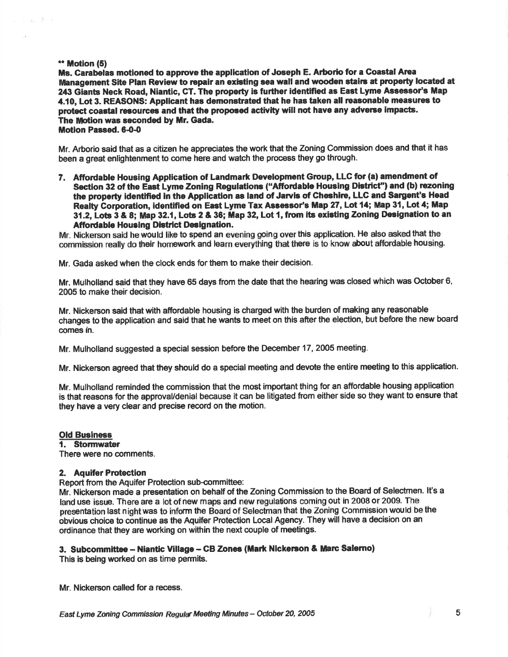# \*\* Motion (5)

ana Kir

Ms. Carabelas motioned to approve the application of Joseph E. Arborio for a Coastal Area Management Site Plan Review to repair an existing sea wall and wooden stairs at property located at 243 Giants Neck Road, Niantic, CT. The property is further identified as East Lyme Assessor's Map 4.10, Lot 3. REASONS: Applicant has demonstrated that he has taken all reasonable measures to protect coastal resources and that the proposed activity will not have any adverse impacts. The Motion was seconded by Mr. Gada. Motion Passed. 6-0-0

Mr. Arborio said that as a citizen he appreciates the work that the Zoning Gommission does and that it has been a great enlightenment to come here and watch the process they go through.

7. Affordable Housing Application of Landmark Development Group, LLC for (a) amendment of Section 32 of the East Lyme Zoning Regulations ("Affordable Housing District") and (b) rezoning the property identified in the Application as land of Jarvis of Cheshire, LLC and Sargent's Head Realty Corporation, identified on East Lyme Tax Assessor's Map 27, Lot 14; Map 31, Lot 4; Map 31.2, Lots 3 & 8; Map 32.1, Lots 2 & 36; Map 32, Lot 1, from its existing Zoning Designation to an **Affordable Housing District Designation.** 

Mr. Nickerson said he would like to spend an evening going overthis application. He also asked that the commission really do their homework and learn everything that there is to know about affordable housing.

Mr. Gada asked when the clock ends for them to make their decision.

Mr. Mulholland said that they have 65 days from the date that the hearing was closed which was October 6, 2005 to make their decision.

Mr. Nickerson said that with affordable housing is charged with the burden of making any reasonable changes to the application and said that he wants to meet on this after the election, but before the new board comes in.

Mr. Mulholland suggested a special session before the December 17, 2005 meeting.

Mr. Nickerson agreed that they should do a special meeting and devote the entire meeting to this application.

Mr. Mulholland reminded the commission that the most important thing for an affordable housing application is that reasons for the approvaUdenial because it can be litigated from either side so they want to ensure that they have a very clear and precise record on the motion.

# **Old Business**<br>1. Stormwater

There were no comments.

# 2. Aquifer Protection

Report ftom the Aquifer Protection sub-committee:

Mr. Nickerson made a presentation on behalf of the Zoning Commission to the Board of Selectmen. lt's a land use issue. There are a lot of new maps and new regulations coming out in 2008 or 2009. The presentation last night was to inform the Board of Selectman that the Zoning Commission would be the obvious choice to continue as the Aquifer Protection Local Agency. They will have a decision on an ordinance that they are working on within the next couple of meetings.

# 3. Subcommittee - Niantic Village - CB Zones (Mark Nickerson & Marc Salerno)

This is being worked on as time permits.

Mr. Nickerson called for a recess.